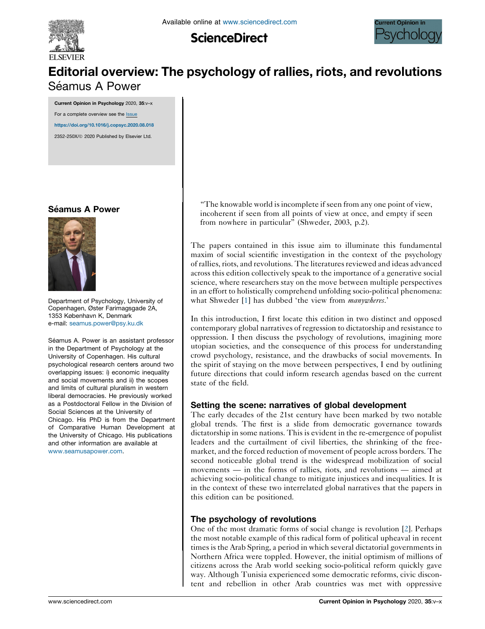

**ScienceDirect** 



# Editorial overview: The psychology of rallies, riots, and revolutions Séamus A Power

Current Opinion in Psychology 2020, 35:v–x For a complete overview see the [Issue](http://www.sciencedirect.com/science/journal/2352250X/35) <https://doi.org/10.1016/j.copsyc.2020.08.018> 2352-250X/© 2020 Published by Elsevier Ltd.

# Séamus A Power



Department of Psychology, University of Copenhagen, Øster Farimagsgade 2A, 1353 København K, Denmark e-mail: [seamus.power@psy.ku.dk](mailto:seamus.power@psy.ku.dk)

Séamus A. Power is an assistant professor in the Department of Psychology at the University of Copenhagen. His cultural psychological research centers around two overlapping issues: i) economic inequality and social movements and ii) the scopes and limits of cultural pluralism in western liberal democracies. He previously worked as a Postdoctoral Fellow in the Division of Social Sciences at the University of Chicago. His PhD is from the Department of Comparative Human Development at the University of Chicago. His publications and other information are available at [www.seamusapower.com.](http://www.seamusapower.com)

"The knowable world is incomplete if seen from any one point of view, incoherent if seen from all points of view at once, and empty if seen from nowhere in particular" (Shweder, 2003, p.2).

The papers contained in this issue aim to illuminate this fundamental maxim of social scientific investigation in the context of the psychology of rallies, riots, and revolutions. The literatures reviewed and ideas advanced across this edition collectively speak to the importance of a generative social science, where researchers stay on the move between multiple perspectives in an effort to holistically comprehend unfolding socio-political phenomena: what Shweder [\[1](#page-4-0)] has dubbed 'the view from *manywheres*.'

In this introduction, I first locate this edition in two distinct and opposed contemporary global narratives of regression to dictatorship and resistance to oppression. I then discuss the psychology of revolutions, imagining more utopian societies, and the consequence of this process for understanding crowd psychology, resistance, and the drawbacks of social movements. In the spirit of staying on the move between perspectives, I end by outlining future directions that could inform research agendas based on the current state of the field.

# Setting the scene: narratives of global development

The early decades of the 21st century have been marked by two notable global trends. The first is a slide from democratic governance towards dictatorship in some nations. This is evident in the re-emergence of populist leaders and the curtailment of civil liberties, the shrinking of the freemarket, and the forced reduction of movement of people across borders. The second noticeable global trend is the widespread mobilization of social movements — in the forms of rallies, riots, and revolutions — aimed at achieving socio-political change to mitigate injustices and inequalities. It is in the context of these two interrelated global narratives that the papers in this edition can be positioned.

# The psychology of revolutions

One of the most dramatic forms of social change is revolution [[2\]](#page-4-0). Perhaps the most notable example of this radical form of political upheaval in recent times is the Arab Spring, a period in which several dictatorial governments in Northern Africa were toppled. However, the initial optimism of millions of citizens across the Arab world seeking socio-political reform quickly gave way. Although Tunisia experienced some democratic reforms, civic discontent and rebellion in other Arab countries was met with oppressive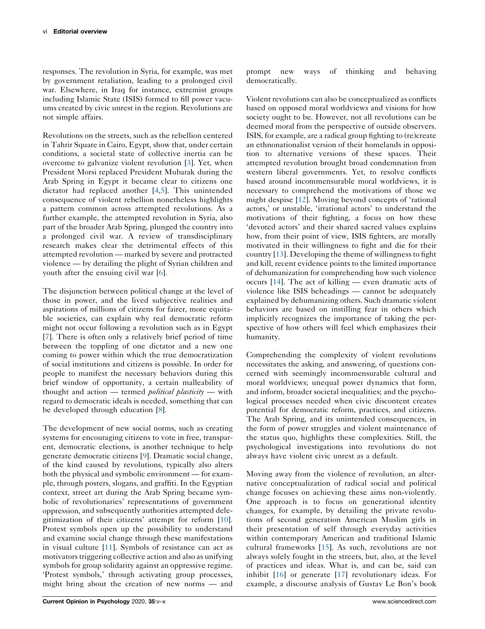responses. The revolution in Syria, for example, was met by government retaliation, leading to a prolonged civil war. Elsewhere, in Iraq for instance, extremist groups including Islamic State (ISIS) formed to fill power vacuums created by civic unrest in the region. Revolutions are not simple affairs.

Revolutions on the streets, such as the rebellion centered in Tahrir Square in Cairo, Egypt, show that, under certain conditions, a societal state of collective inertia can be overcome to galvanize violent revolution [\[3](#page-4-0)]. Yet, when President Morsi replaced President Mubarak during the Arab Spring in Egypt it became clear to citizens one dictator had replaced another [\[4](#page-4-0),[5\]](#page-4-0). This unintended consequence of violent rebellion nonetheless highlights a pattern common across attempted revolutions. As a further example, the attempted revolution in Syria, also part of the broader Arab Spring, plunged the country into a prolonged civil war. A review of transdisciplinary research makes clear the detrimental effects of this attempted revolution — marked by severe and protracted violence — by detailing the plight of Syrian children and youth after the ensuing civil war [[6\]](#page-4-0).

The disjunction between political change at the level of those in power, and the lived subjective realities and aspirations of millions of citizens for fairer, more equitable societies, can explain why real democratic reform might not occur following a revolution such as in Egypt [\[7](#page-4-0)]. There is often only a relatively brief period of time between the toppling of one dictator and a new one coming to power within which the true democratization of social institutions and citizens is possible. In order for people to manifest the necessary behaviors during this brief window of opportunity, a certain malleability of thought and action — termed *political plasticity* — with regard to democratic ideals is needed, something that can be developed through education [\[8](#page-4-0)].

The development of new social norms, such as creating systems for encouraging citizens to vote in free, transparent, democratic elections, is another technique to help generate democratic citizens [\[9](#page-4-0)]. Dramatic social change, of the kind caused by revolutions, typically also alters both the physical and symbolic environment — for example, through posters, slogans, and graffiti. In the Egyptian context, street art during the Arab Spring became symbolic of revolutionaries' representations of government oppression, and subsequently authorities attempted delegitimization of their citizens' attempt for reform [\[10](#page-4-0)]. Protest symbols open up the possibility to understand and examine social change through these manifestations in visual culture [\[11](#page-4-0)]. Symbols of resistance can act as motivators triggering collective action and also as unifying symbols for group solidarity against an oppressive regime. 'Protest symbols,' through activating group processes, might bring about the creation of new norms — and prompt new ways of thinking and behaving democratically.

Violent revolutions can also be conceptualized as conflicts based on opposed moral worldviews and visions for how society ought to be. However, not all revolutions can be deemed moral from the perspective of outside observers. ISIS, for example, are a radical group fighting to (re)create an ethnonationalist version of their homelands in opposition to alternative versions of these spaces. Their attempted revolution brought broad condemnation from western liberal governments. Yet, to resolve conflicts based around incommensurable moral worldviews, it is necessary to comprehend the motivations of those we might despise [[12\]](#page-4-0). Moving beyond concepts of 'rational actors,' or unstable, 'irrational actors' to understand the motivations of their fighting, a focus on how these 'devoted actors' and their shared sacred values explains how, from their point of view, ISIS fighters, are morally motivated in their willingness to fight and die for their country [\[13](#page-4-0)]. Developing the theme of willingnessto fight and kill, recent evidence points to the limited importance of dehumanization for comprehending how such violence occurs [[14\]](#page-4-0). The act of killing — even dramatic acts of violence like ISIS beheadings — cannot be adequately explained by dehumanizing others. Such dramatic violent behaviors are based on instilling fear in others which implicitly recognizes the importance of taking the perspective of how others will feel which emphasizes their humanity.

Comprehending the complexity of violent revolutions necessitates the asking, and answering, of questions concerned with seemingly incommensurable cultural and moral worldviews; unequal power dynamics that form, and inform, broader societal inequalities; and the psychological processes needed when civic discontent creates potential for democratic reform, practices, and citizens. The Arab Spring, and its unintended consequences, in the form of power struggles and violent maintenance of the status quo, highlights these complexities. Still, the psychological investigations into revolutions do not always have violent civic unrest as a default.

Moving away from the violence of revolution, an alternative conceptualization of radical social and political change focuses on achieving these aims non-violently. One approach is to focus on generational identity changes, for example, by detailing the private revolutions of second generation American Muslim girls in their presentation of self through everyday activities within contemporary American and traditional Islamic cultural frameworks [[15\]](#page-4-0). As such, revolutions are not always solely fought in the streets, but, also, at the level of practices and ideas. What is, and can be, said can inhibit [\[16](#page-4-0)] or generate [\[17](#page-4-0)] revolutionary ideas. For example, a discourse analysis of Gustav Le Bon's book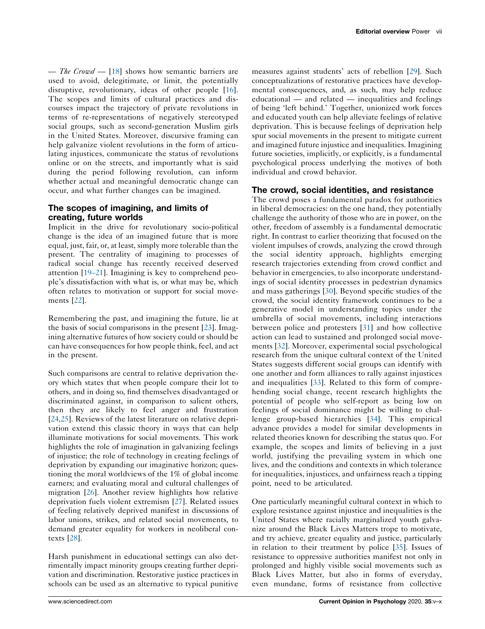— *The Crowd* — [[18](#page-4-0)] shows how semantic barriers are used to avoid, delegitimate, or limit, the potentially disruptive, revolutionary, ideas of other people [\[16](#page-4-0)]. The scopes and limits of cultural practices and discourses impact the trajectory of private revolutions in terms of re-representations of negatively stereotyped social groups, such as second-generation Muslim girls in the United States. Moreover, discursive framing can help galvanize violent revolutions in the form of articulating injustices, communicate the status of revolutions online or on the streets, and importantly what is said during the period following revolution, can inform whether actual and meaningful democratic change can occur, and what further changes can be imagined.

#### The scopes of imagining, and limits of creating, future worlds

Implicit in the drive for revolutionary socio-political change is the idea of an imagined future that is more equal, just, fair, or, at least, simply more tolerable than the present. The centrality of imagining to processes of radical social change has recently received deserved attention [[19–21\]](#page-4-0). Imagining is key to comprehend people's dissatisfaction with what is, or what may be, which often relates to motivation or support for social movements [[22\]](#page-4-0).

Remembering the past, and imagining the future, lie at the basis of social comparisons in the present [[23\]](#page-4-0). Imagining alternative futures of how society could or should be can have consequences for how people think, feel, and act in the present.

Such comparisons are central to relative deprivation theory which states that when people compare their lot to others, and in doing so, find themselves disadvantaged or discriminated against, in comparison to salient others, then they are likely to feel anger and frustration [\[24](#page-4-0),[25\]](#page-4-0). Reviews of the latest literature on relative deprivation extend this classic theory in ways that can help illuminate motivations for social movements. This work highlights the role of imagination in galvanizing feelings of injustice; the role of technology in creating feelings of deprivation by expanding our imaginative horizon; questioning the moral worldviews of the 1% of global income earners; and evaluating moral and cultural challenges of migration [\[26](#page-4-0)]. Another review highlights how relative deprivation fuels violent extremism [[27\]](#page-4-0). Related issues of feeling relatively deprived manifest in discussions of labor unions, strikes, and related social movements, to demand greater equality for workers in neoliberal contexts [\[28](#page-5-0)].

Harsh punishment in educational settings can also detrimentally impact minority groups creating further deprivation and discrimination. Restorative justice practices in schools can be used as an alternative to typical punitive

measures against students' acts of rebellion [\[29](#page-5-0)]. Such conceptualizations of restorative practices have developmental consequences, and, as such, may help reduce educational — and related — inequalities and feelings of being 'left behind.' Together, unionized work forces and educated youth can help alleviate feelings of relative deprivation. This is because feelings of deprivation help spur social movements in the present to mitigate current and imagined future injustice and inequalities. Imagining future societies, implicitly, or explicitly, is a fundamental psychological process underlying the motives of both individual and crowd behavior.

# The crowd, social identities, and resistance

The crowd poses a fundamental paradox for authorities in liberal democracies: on the one hand, they potentially challenge the authority of those who are in power, on the other, freedom of assembly is a fundamental democratic right. In contrast to earlier theorizing that focused on the violent impulses of crowds, analyzing the crowd through the social identity approach, highlights emerging research trajectories extending from crowd conflict and behavior in emergencies, to also incorporate understandings of social identity processes in pedestrian dynamics and mass gatherings [[30\]](#page-5-0). Beyond specific studies of the crowd, the social identity framework continues to be a generative model in understanding topics under the umbrella of social movements, including interactions between police and protesters [\[31](#page-5-0)] and how collective action can lead to sustained and prolonged social movements [\[32](#page-5-0)]. Moreover, experimental social psychological research from the unique cultural context of the United States suggests different social groups can identify with one another and form alliances to rally against injustices and inequalities [[33\]](#page-5-0). Related to this form of comprehending social change, recent research highlights the potential of people who self-report as being low on feelings of social dominance might be willing to challenge group-based hierarchies [\[34](#page-5-0)]. This empirical advance provides a model for similar developments in related theories known for describing the status quo. For example, the scopes and limits of believing in a just world, justifying the prevailing system in which one lives, and the conditions and contexts in which tolerance for inequalities, injustices, and unfairness reach a tipping point, need to be articulated.

One particularly meaningful cultural context in which to explore resistance against injustice and inequalities is the United States where racially marginalized youth galvanize around the Black Lives Matters trope to motivate, and try achieve, greater equality and justice, particularly in relation to their treatment by police [\[35](#page-5-0)]. Issues of resistance to oppressive authorities manifest not only in prolonged and highly visible social movements such as Black Lives Matter, but also in forms of everyday, even mundane, forms of resistance from collective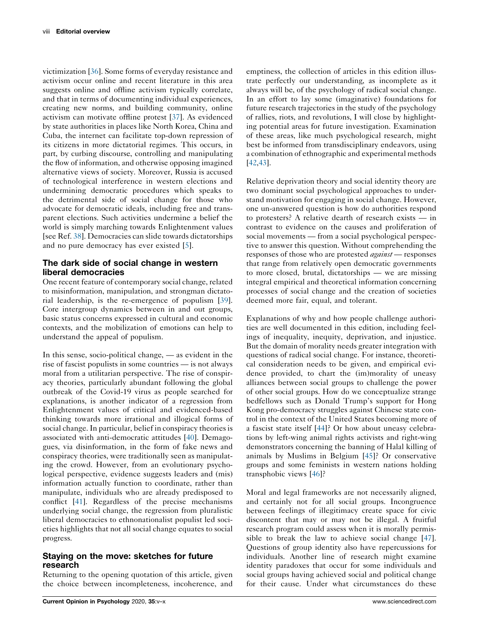victimization [\[36](#page-5-0)]. Some forms of everyday resistance and activism occur online and recent literature in this area suggests online and offline activism typically correlate, and that in terms of documenting individual experiences, creating new norms, and building community, online activism can motivate offline protest [\[37](#page-5-0)]. As evidenced by state authorities in places like North Korea, China and Cuba, the internet can facilitate top-down repression of its citizens in more dictatorial regimes. This occurs, in part, by curbing discourse, controlling and manipulating the flow of information, and otherwise opposing imagined alternative views of society. Moreover, Russia is accused of technological interference in western elections and undermining democratic procedures which speaks to the detrimental side of social change for those who advocate for democratic ideals, including free and transparent elections. Such activities undermine a belief the world is simply marching towards Enlightenment values [see Ref. [38\]](#page-5-0). Democracies can slide towards dictatorships and no pure democracy has ever existed [[5\]](#page-4-0).

#### The dark side of social change in western liberal democracies

One recent feature of contemporary social change, related to misinformation, manipulation, and strongman dictatorial leadership, is the re-emergence of populism [\[39](#page-5-0)]. Core intergroup dynamics between in and out groups, basic status concerns expressed in cultural and economic contexts, and the mobilization of emotions can help to understand the appeal of populism.

In this sense, socio-political change, — as evident in the rise of fascist populists in some countries — is not always moral from a utilitarian perspective. The rise of conspiracy theories, particularly abundant following the global outbreak of the Covid-19 virus as people searched for explanations, is another indicator of a regression from Enlightenment values of critical and evidenced-based thinking towards more irrational and illogical forms of social change. In particular, belief in conspiracy theories is associated with anti-democratic attitudes [[40](#page-5-0)]. Demagogues, via disinformation, in the form of fake news and conspiracy theories, were traditionally seen as manipulating the crowd. However, from an evolutionary psychological perspective, evidence suggests leaders and (mis) information actually function to coordinate, rather than manipulate, individuals who are already predisposed to conflict [[41\]](#page-5-0). Regardless of the precise mechanisms underlying social change, the regression from pluralistic liberal democracies to ethnonationalist populist led societies highlights that not all social change equates to social progress.

### Staying on the move: sketches for future research

Returning to the opening quotation of this article, given the choice between incompleteness, incoherence, and

emptiness, the collection of articles in this edition illustrate perfectly our understanding, as incomplete as it always will be, of the psychology of radical social change. In an effort to lay some (imaginative) foundations for future research trajectories in the study of the psychology of rallies, riots, and revolutions, I will close by highlighting potential areas for future investigation. Examination of these areas, like much psychological research, might best be informed from transdisciplinary endeavors, using a combination of ethnographic and experimental methods [\[42](#page-5-0),[43\]](#page-5-0).

Relative deprivation theory and social identity theory are two dominant social psychological approaches to understand motivation for engaging in social change. However, one un-answered question is how do authorities respond to protesters? A relative dearth of research exists — in contrast to evidence on the causes and proliferation of social movements — from a social psychological perspective to answer this question. Without comprehending the responses of those who are protested *against* — responses that range from relatively open democratic governments to more closed, brutal, dictatorships — we are missing integral empirical and theoretical information concerning processes of social change and the creation of societies deemed more fair, equal, and tolerant.

Explanations of why and how people challenge authorities are well documented in this edition, including feelings of inequality, inequity, deprivation, and injustice. But the domain of morality needs greater integration with questions of radical social change. For instance, theoretical consideration needs to be given, and empirical evidence provided, to chart the (im)morality of uneasy alliances between social groups to challenge the power of other social groups. How do we conceptualize strange bedfellows such as Donald Trump's support for Hong Kong pro-democracy struggles against Chinese state control in the context of the United States becoming more of a fascist state itself [\[44](#page-5-0)]? Or how about uneasy celebrations by left-wing animal rights activists and right-wing demonstrators concerning the banning of Halal killing of animals by Muslims in Belgium [\[45](#page-5-0)]? Or conservative groups and some feminists in western nations holding transphobic views [\[46](#page-5-0)]?

Moral and legal frameworks are not necessarily aligned, and certainly not for all social groups. Incongruence between feelings of illegitimacy create space for civic discontent that may or may not be illegal. A fruitful research program could assess when it is morally permissible to break the law to achieve social change [[47](#page-5-0)]. Questions of group identity also have repercussions for individuals. Another line of research might examine identity paradoxes that occur for some individuals and social groups having achieved social and political change for their cause. Under what circumstances do these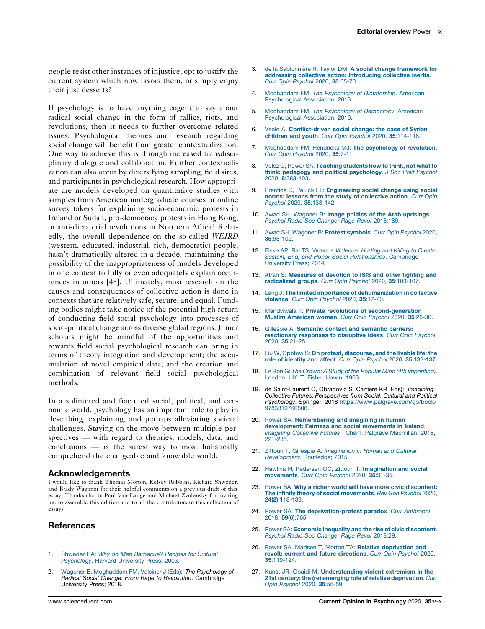<span id="page-4-0"></span>people resist other instances of injustice, opt to justify the current system which now favors them, or simply enjoy their just desserts?

If psychology is to have anything cogent to say about radical social change in the form of rallies, riots, and revolutions, then it needs to further overcome related issues. Psychological theories and research regarding social change will benefit from greater contextualization. One way to achieve this is through increased transdisciplinary dialogue and collaboration. Further contextualization can also occur by diversifying sampling, field sites, and participants in psychological research. How appropriate are models developed on quantitative studies with samples from American undergraduate courses or online survey takers for explaining socio-economic protests in Ireland or Sudan, pro-democracy protests in Hong Kong, or anti-dictatorial revolutions in Northern Africa? Relatedly, the overall dependence on the so-called WEIRD (western, educated, industrial, rich, democratic) people, hasn't dramatically altered in a decade, maintaining the possibility of the inappropriateness of models developed in one context to fully or even adequately explain occurrences in others [[48\]](#page-5-0). Ultimately, most research on the causes and consequences of collective action is done in contexts that are relatively safe, secure, and equal. Funding bodies might take notice of the potential high return of conducting field social psychology into processes of socio-political change across diverse global regions. Junior scholars might be mindful of the opportunities and rewards field social psychological research can bring in terms of theory integration and development; the accumulation of novel empirical data, and the creation and combination of relevant field social psychological methods.

In a splintered and fractured social, political, and economic world, psychology has an important role to play in describing, explaining, and perhaps alleviating societal challenges. Staying on the move between multiple perspectives — with regard to theories, models, data, and conclusions — is the surest way to most holistically comprehend the changeable and knowable world.

#### Acknowledgements

I would like to thank Thomas Morton, Kelsey Robbins, Richard Shweder, and Brady Wagoner for their helpful comments on a previous draft of this essay. Thanks also to Paul Van Lange and Michael Zvolensky for inviting me to assemble this edition and to all the contributors to this collection of essays.

#### References

- 1. Shweder RA: Why do Men [Barbecue?](http://refhub.elsevier.com/S2352-250X(20)30170-6/sbref0005) Recipes for Cultural [Psychology](http://refhub.elsevier.com/S2352-250X(20)30170-6/sbref0005). Harvard University Press; 2003.
- 2. Wagoner B, [Moghaddam](http://refhub.elsevier.com/S2352-250X(20)30170-6/sbref0010) FM, Valsiner J (Eds): The Psychology of Radical Social Change: From Rage to [Revolution](http://refhub.elsevier.com/S2352-250X(20)30170-6/sbref0010). Cambridge University Press; 2018.
- de la Sablonnière R, Taylor DM: A social change framework for addressing collective action: [Introducing](http://refhub.elsevier.com/S2352-250X(20)30170-6/sbref0015) collective inertia. Curr Opin [Psychol](http://refhub.elsevier.com/S2352-250X(20)30170-6/sbref0015) 2020, 35:65-70.
- 4. [Moghaddam](http://refhub.elsevier.com/S2352-250X(20)30170-6/sbref0020) FM: The Psychology of Dictatorship. American [Psychological](http://refhub.elsevier.com/S2352-250X(20)30170-6/sbref0020) Association; 2013.
- 5. [Moghaddam](http://refhub.elsevier.com/S2352-250X(20)30170-6/sbref0025) FM: The Psychology of Democracy. American [Psychological](http://refhub.elsevier.com/S2352-250X(20)30170-6/sbref0025) Association; 2016.
- 6. Veale A: [Conflict-driven](http://refhub.elsevier.com/S2352-250X(20)30170-6/sbref0030) social change: the case of Syrian children and youth. Curr Opin Psychol 2020, 35[:114-118.](http://refhub.elsevier.com/S2352-250X(20)30170-6/sbref0030)
- 7. [Moghaddam](http://refhub.elsevier.com/S2352-250X(20)30170-6/sbref0035) FM, Hendricks MJ: The psychology of revolution. Curr Opin [Psychol](http://refhub.elsevier.com/S2352-250X(20)30170-6/sbref0035) 2020, 35:7-11.
- 8. Velez G, Power SA: [Teaching](http://refhub.elsevier.com/S2352-250X(20)30170-6/sbref0040) students how to think, not what to think: pedagogy and political [psychology](http://refhub.elsevier.com/S2352-250X(20)30170-6/sbref0040). J Soc Polit Psychol 2020, 8[:388-403.](http://refhub.elsevier.com/S2352-250X(20)30170-6/sbref0040)
- 9. Prentice D, Paluck EL: [Engineering](http://refhub.elsevier.com/S2352-250X(20)30170-6/sbref0045) social change using social norms: lessons from the study of [collective](http://refhub.elsevier.com/S2352-250X(20)30170-6/sbref0045) action. Curr Opin Psychol 2020, 35[:138-142.](http://refhub.elsevier.com/S2352-250X(20)30170-6/sbref0045)
- 10. Awad SH, Wagoner B: Image politics of the Arab [uprisings](http://refhub.elsevier.com/S2352-250X(20)30170-6/sbref0050). Psychol Radic Soc Change: Rage Revol [2018:189.](http://refhub.elsevier.com/S2352-250X(20)30170-6/sbref0050)
- 11. Awad SH, [Wagoner](http://refhub.elsevier.com/S2352-250X(20)30170-6/sbref0055) B: Protest symbols. Curr Opin Psychol 2020, 35[:98-102.](http://refhub.elsevier.com/S2352-250X(20)30170-6/sbref0055)
- 12. Fiske AP, Rai TS: Virtuous [Violence:](http://refhub.elsevier.com/S2352-250X(20)30170-6/sbref0060) Hurting and Killing to Create, Sustain, End, and Honor Social [Relationships](http://refhub.elsevier.com/S2352-250X(20)30170-6/sbref0060). Cambridge [University](http://refhub.elsevier.com/S2352-250X(20)30170-6/sbref0060) Press; 2014.
- 13. Atran S: [Measures](http://refhub.elsevier.com/S2352-250X(20)30170-6/sbref0065) of devotion to ISIS and other fighting and [radicalized](http://refhub.elsevier.com/S2352-250X(20)30170-6/sbref0065) groups. Curr Opin Psychol 2020, 35:103-107.
- 14. Lang J: The limited importance of [dehumanization](http://refhub.elsevier.com/S2352-250X(20)30170-6/sbref0070) in collective [violence](http://refhub.elsevier.com/S2352-250X(20)30170-6/sbref0070). Curr Opin Psychol 2020, 35:17-20.
- 15. Mandviwala T: Private revolutions of [second-generation](http://refhub.elsevier.com/S2352-250X(20)30170-6/sbref0075) Muslim [American](http://refhub.elsevier.com/S2352-250X(20)30170-6/sbref0075) women. Curr Opin Psychol 2020, 35:26-30.
- 16. Gillespie A: [Semantic](http://refhub.elsevier.com/S2352-250X(20)30170-6/sbref0080) contact and semantic barriers: [reactionary](http://refhub.elsevier.com/S2352-250X(20)30170-6/sbref0080) responses to disruptive ideas. Curr Opin Psychol 2020, 35[:21-25.](http://refhub.elsevier.com/S2352-250X(20)30170-6/sbref0080)
- 17. Liu W, Opotow S: On protest, [discourse,](http://refhub.elsevier.com/S2352-250X(20)30170-6/sbref0085) and the livable life: the role of identity and affect. Curr Opin Psychol 2020, 35[:132-137.](http://refhub.elsevier.com/S2352-250X(20)30170-6/sbref0085)
- 18. Le Bon G: The Crowd: A Study of the Popular Mind (4th [imprinting\)](http://refhub.elsevier.com/S2352-250X(20)30170-6/sbref0090). [London,](http://refhub.elsevier.com/S2352-250X(20)30170-6/sbref0090) UK: T. Fisher Unwin; 1903.
- 19. de Saint-Laurent C, Obradović S, Carriere KR (Eds): Imagining Collective Futures: Perspectives from Social, Cultural and Political Psychology. Springer; 2018 [https://www.palgrave.com/gp/book/](https://www.palgrave.com/gp/book/9783319760506) [9783319760506](https://www.palgrave.com/gp/book/9783319760506).
- 20. Power SA: [Remembering](http://refhub.elsevier.com/S2352-250X(20)30170-6/sbref0100) and imagining in human [development:](http://refhub.elsevier.com/S2352-250X(20)30170-6/sbref0100) Fairness and social movements in Ireland. Imagining Collective Futures. Cham: Palgrave [Macmillan;](http://refhub.elsevier.com/S2352-250X(20)30170-6/sbref0100) 2018, [221-235](http://refhub.elsevier.com/S2352-250X(20)30170-6/sbref0100).
- 21. Zittoun T, Gillespie A: [Imagination](http://refhub.elsevier.com/S2352-250X(20)30170-6/sbref0105) in Human and Cultural [Development](http://refhub.elsevier.com/S2352-250X(20)30170-6/sbref0105). Routledge; 2015.
- 22. Hawlina H, Pedersen OC, Zittoun T: [Imagination](http://refhub.elsevier.com/S2352-250X(20)30170-6/sbref0110) and social [movements](http://refhub.elsevier.com/S2352-250X(20)30170-6/sbref0110). Curr Opin Psychol 2020, 35:31-35.
- 23. Power SA: Why a richer world will have more civic [discontent:](http://refhub.elsevier.com/S2352-250X(20)30170-6/sbref0115) The infinity theory of social [movements](http://refhub.elsevier.com/S2352-250X(20)30170-6/sbref0115). Rev Gen Psychol 2020, 24(2)[:118-133.](http://refhub.elsevier.com/S2352-250X(20)30170-6/sbref0115)
- 24. Power SA: The [deprivation-protest](http://refhub.elsevier.com/S2352-250X(20)30170-6/sbref0120) paradox. Curr Anthropol [2018,](http://refhub.elsevier.com/S2352-250X(20)30170-6/sbref0120) 59(6):765.
- 25. Power SA: Economic inequality and the rise of civic [discontent](http://refhub.elsevier.com/S2352-250X(20)30170-6/sbref0125). Psychol Radic Soc Change: Rage Revol [2018:29.](http://refhub.elsevier.com/S2352-250X(20)30170-6/sbref0125)
- 26. Power SA, Madsen T, Morton TA: Relative [deprivation](http://refhub.elsevier.com/S2352-250X(20)30170-6/sbref0130) and revolt: current and future [directions](http://refhub.elsevier.com/S2352-250X(20)30170-6/sbref0130). Curr Opin Psychol 2020, 35[:119-124.](http://refhub.elsevier.com/S2352-250X(20)30170-6/sbref0130)
- 27. Kunst JR, Obaidi M: [Understanding](http://refhub.elsevier.com/S2352-250X(20)30170-6/sbref0135) violent extremism in the 21st century: the (re) emerging role of relative [deprivation](http://refhub.elsevier.com/S2352-250X(20)30170-6/sbref0135). Curr Opin [Psychol](http://refhub.elsevier.com/S2352-250X(20)30170-6/sbref0135) 2020, 35:55-59.